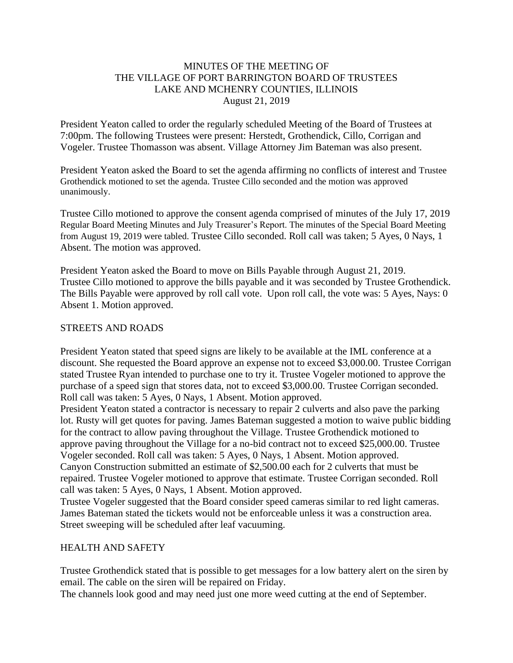## MINUTES OF THE MEETING OF THE VILLAGE OF PORT BARRINGTON BOARD OF TRUSTEES LAKE AND MCHENRY COUNTIES, ILLINOIS August 21, 2019

President Yeaton called to order the regularly scheduled Meeting of the Board of Trustees at 7:00pm. The following Trustees were present: Herstedt, Grothendick, Cillo, Corrigan and Vogeler. Trustee Thomasson was absent. Village Attorney Jim Bateman was also present.

President Yeaton asked the Board to set the agenda affirming no conflicts of interest and Trustee Grothendick motioned to set the agenda. Trustee Cillo seconded and the motion was approved unanimously.

Trustee Cillo motioned to approve the consent agenda comprised of minutes of the July 17, 2019 Regular Board Meeting Minutes and July Treasurer's Report. The minutes of the Special Board Meeting from August 19, 2019 were tabled. Trustee Cillo seconded. Roll call was taken; 5 Ayes, 0 Nays, 1 Absent. The motion was approved.

President Yeaton asked the Board to move on Bills Payable through August 21, 2019. Trustee Cillo motioned to approve the bills payable and it was seconded by Trustee Grothendick. The Bills Payable were approved by roll call vote. Upon roll call, the vote was: 5 Ayes, Nays: 0 Absent 1. Motion approved.

# STREETS AND ROADS

President Yeaton stated that speed signs are likely to be available at the IML conference at a discount. She requested the Board approve an expense not to exceed \$3,000.00. Trustee Corrigan stated Trustee Ryan intended to purchase one to try it. Trustee Vogeler motioned to approve the purchase of a speed sign that stores data, not to exceed \$3,000.00. Trustee Corrigan seconded. Roll call was taken: 5 Ayes, 0 Nays, 1 Absent. Motion approved.

President Yeaton stated a contractor is necessary to repair 2 culverts and also pave the parking lot. Rusty will get quotes for paving. James Bateman suggested a motion to waive public bidding for the contract to allow paving throughout the Village. Trustee Grothendick motioned to approve paving throughout the Village for a no-bid contract not to exceed \$25,000.00. Trustee Vogeler seconded. Roll call was taken: 5 Ayes, 0 Nays, 1 Absent. Motion approved. Canyon Construction submitted an estimate of \$2,500.00 each for 2 culverts that must be repaired. Trustee Vogeler motioned to approve that estimate. Trustee Corrigan seconded. Roll call was taken: 5 Ayes, 0 Nays, 1 Absent. Motion approved.

Trustee Vogeler suggested that the Board consider speed cameras similar to red light cameras. James Bateman stated the tickets would not be enforceable unless it was a construction area. Street sweeping will be scheduled after leaf vacuuming.

### HEALTH AND SAFETY

Trustee Grothendick stated that is possible to get messages for a low battery alert on the siren by email. The cable on the siren will be repaired on Friday.

The channels look good and may need just one more weed cutting at the end of September.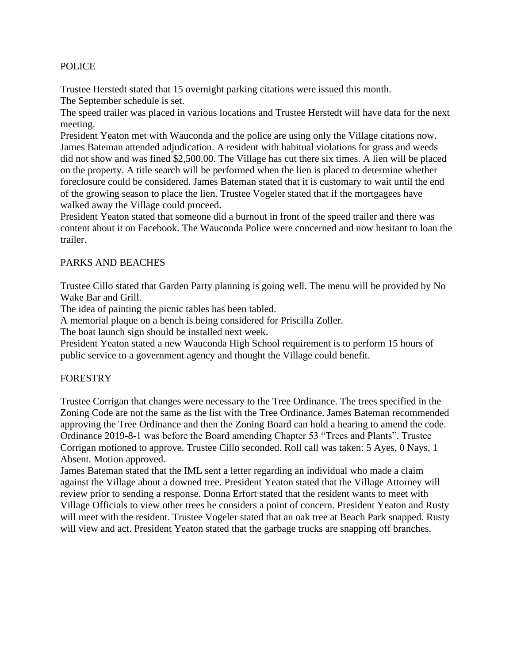### POLICE

Trustee Herstedt stated that 15 overnight parking citations were issued this month. The September schedule is set.

The speed trailer was placed in various locations and Trustee Herstedt will have data for the next meeting.

President Yeaton met with Wauconda and the police are using only the Village citations now. James Bateman attended adjudication. A resident with habitual violations for grass and weeds did not show and was fined \$2,500.00. The Village has cut there six times. A lien will be placed on the property. A title search will be performed when the lien is placed to determine whether foreclosure could be considered. James Bateman stated that it is customary to wait until the end of the growing season to place the lien. Trustee Vogeler stated that if the mortgagees have walked away the Village could proceed.

President Yeaton stated that someone did a burnout in front of the speed trailer and there was content about it on Facebook. The Wauconda Police were concerned and now hesitant to loan the trailer.

## PARKS AND BEACHES

Trustee Cillo stated that Garden Party planning is going well. The menu will be provided by No Wake Bar and Grill.

The idea of painting the picnic tables has been tabled.

A memorial plaque on a bench is being considered for Priscilla Zoller.

The boat launch sign should be installed next week.

President Yeaton stated a new Wauconda High School requirement is to perform 15 hours of public service to a government agency and thought the Village could benefit.

### **FORESTRY**

Trustee Corrigan that changes were necessary to the Tree Ordinance. The trees specified in the Zoning Code are not the same as the list with the Tree Ordinance. James Bateman recommended approving the Tree Ordinance and then the Zoning Board can hold a hearing to amend the code. Ordinance 2019-8-1 was before the Board amending Chapter 53 "Trees and Plants". Trustee Corrigan motioned to approve. Trustee Cillo seconded. Roll call was taken: 5 Ayes, 0 Nays, 1 Absent. Motion approved.

James Bateman stated that the IML sent a letter regarding an individual who made a claim against the Village about a downed tree. President Yeaton stated that the Village Attorney will review prior to sending a response. Donna Erfort stated that the resident wants to meet with Village Officials to view other trees he considers a point of concern. President Yeaton and Rusty will meet with the resident. Trustee Vogeler stated that an oak tree at Beach Park snapped. Rusty will view and act. President Yeaton stated that the garbage trucks are snapping off branches.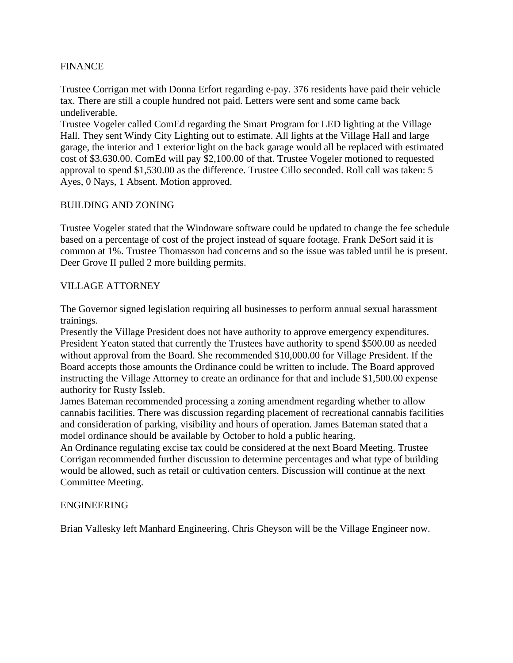# FINANCE

Trustee Corrigan met with Donna Erfort regarding e-pay. 376 residents have paid their vehicle tax. There are still a couple hundred not paid. Letters were sent and some came back undeliverable.

Trustee Vogeler called ComEd regarding the Smart Program for LED lighting at the Village Hall. They sent Windy City Lighting out to estimate. All lights at the Village Hall and large garage, the interior and 1 exterior light on the back garage would all be replaced with estimated cost of \$3.630.00. ComEd will pay \$2,100.00 of that. Trustee Vogeler motioned to requested approval to spend \$1,530.00 as the difference. Trustee Cillo seconded. Roll call was taken: 5 Ayes, 0 Nays, 1 Absent. Motion approved.

## BUILDING AND ZONING

Trustee Vogeler stated that the Windoware software could be updated to change the fee schedule based on a percentage of cost of the project instead of square footage. Frank DeSort said it is common at 1%. Trustee Thomasson had concerns and so the issue was tabled until he is present. Deer Grove II pulled 2 more building permits.

## VILLAGE ATTORNEY

The Governor signed legislation requiring all businesses to perform annual sexual harassment trainings.

Presently the Village President does not have authority to approve emergency expenditures. President Yeaton stated that currently the Trustees have authority to spend \$500.00 as needed without approval from the Board. She recommended \$10,000.00 for Village President. If the Board accepts those amounts the Ordinance could be written to include. The Board approved instructing the Village Attorney to create an ordinance for that and include \$1,500.00 expense authority for Rusty Issleb.

James Bateman recommended processing a zoning amendment regarding whether to allow cannabis facilities. There was discussion regarding placement of recreational cannabis facilities and consideration of parking, visibility and hours of operation. James Bateman stated that a model ordinance should be available by October to hold a public hearing.

An Ordinance regulating excise tax could be considered at the next Board Meeting. Trustee Corrigan recommended further discussion to determine percentages and what type of building would be allowed, such as retail or cultivation centers. Discussion will continue at the next Committee Meeting.

### ENGINEERING

Brian Vallesky left Manhard Engineering. Chris Gheyson will be the Village Engineer now.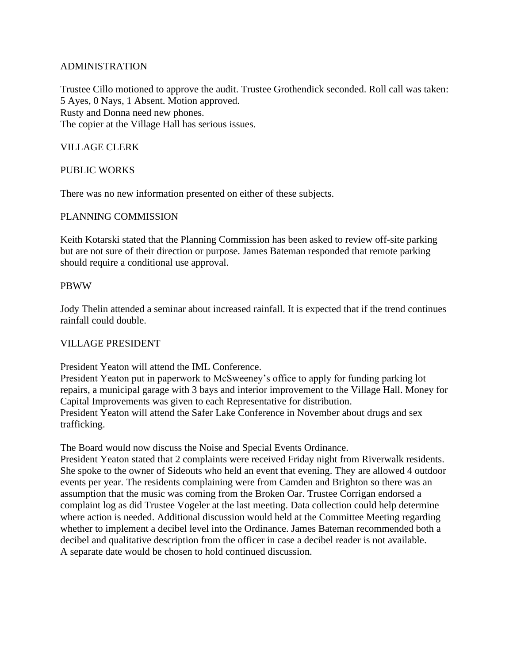## ADMINISTRATION

Trustee Cillo motioned to approve the audit. Trustee Grothendick seconded. Roll call was taken: 5 Ayes, 0 Nays, 1 Absent. Motion approved. Rusty and Donna need new phones. The copier at the Village Hall has serious issues.

## VILLAGE CLERK

### PUBLIC WORKS

There was no new information presented on either of these subjects.

### PLANNING COMMISSION

Keith Kotarski stated that the Planning Commission has been asked to review off-site parking but are not sure of their direction or purpose. James Bateman responded that remote parking should require a conditional use approval.

#### PBWW

Jody Thelin attended a seminar about increased rainfall. It is expected that if the trend continues rainfall could double.

### VILLAGE PRESIDENT

President Yeaton will attend the IML Conference.

President Yeaton put in paperwork to McSweeney's office to apply for funding parking lot repairs, a municipal garage with 3 bays and interior improvement to the Village Hall. Money for Capital Improvements was given to each Representative for distribution. President Yeaton will attend the Safer Lake Conference in November about drugs and sex trafficking.

The Board would now discuss the Noise and Special Events Ordinance.

President Yeaton stated that 2 complaints were received Friday night from Riverwalk residents. She spoke to the owner of Sideouts who held an event that evening. They are allowed 4 outdoor events per year. The residents complaining were from Camden and Brighton so there was an assumption that the music was coming from the Broken Oar. Trustee Corrigan endorsed a complaint log as did Trustee Vogeler at the last meeting. Data collection could help determine where action is needed. Additional discussion would held at the Committee Meeting regarding whether to implement a decibel level into the Ordinance. James Bateman recommended both a decibel and qualitative description from the officer in case a decibel reader is not available. A separate date would be chosen to hold continued discussion.